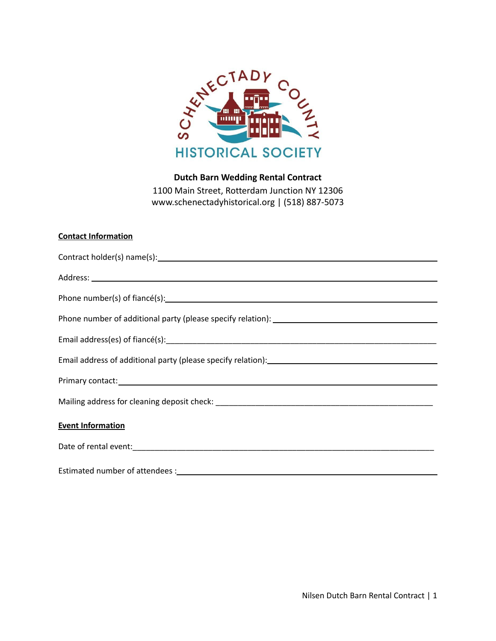

# **Dutch Barn Wedding Rental Contract** 1100 Main Street, Rotterdam Junction NY 12306 www.schenectadyhistorical.org | (518) 887-5073

## **Contact Information**

| Contract holder(s) name(s): example and contract holder(s) name(s):                                                                                                                                                            |  |  |
|--------------------------------------------------------------------------------------------------------------------------------------------------------------------------------------------------------------------------------|--|--|
|                                                                                                                                                                                                                                |  |  |
|                                                                                                                                                                                                                                |  |  |
|                                                                                                                                                                                                                                |  |  |
|                                                                                                                                                                                                                                |  |  |
| Email address of additional party (please specify relation): [14] [2012] [2013] [2013] [2014] [2014] [2014] [2015] [2016] [2016] [2016] [2016] [2016] [2016] [2016] [2016] [2016] [2016] [2016] [2016] [2016] [2016] [2016] [2 |  |  |
|                                                                                                                                                                                                                                |  |  |
|                                                                                                                                                                                                                                |  |  |
| <b>Event Information</b>                                                                                                                                                                                                       |  |  |
|                                                                                                                                                                                                                                |  |  |
|                                                                                                                                                                                                                                |  |  |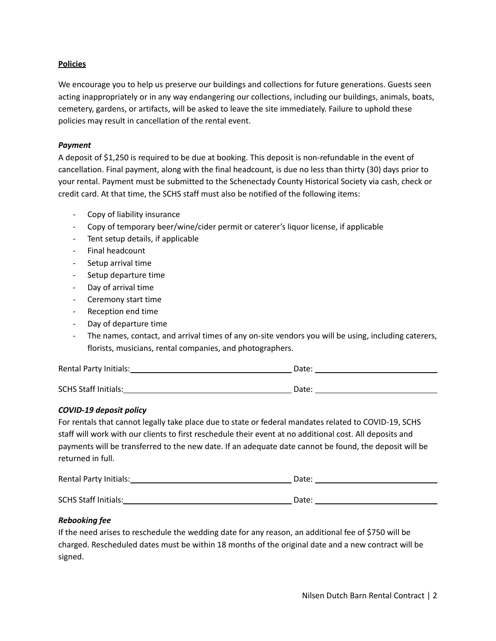## **Policies**

We encourage you to help us preserve our buildings and collections for future generations. Guests seen acting inappropriately or in any way endangering our collections, including our buildings, animals, boats, cemetery, gardens, or artifacts, will be asked to leave the site immediately. Failure to uphold these policies may result in cancellation of the rental event.

## *Payment*

A deposit of \$1,250 is required to be due at booking. This deposit is non-refundable in the event of cancellation. Final payment, along with the final headcount, is due no less than thirty (30) days prior to your rental. Payment must be submitted to the Schenectady County Historical Society via cash, check or credit card. At that time, the SCHS staff must also be notified of the following items:

- Copy of liability insurance
- Copy of temporary beer/wine/cider permit or caterer's liquor license, if applicable
- Tent setup details, if applicable
- Final headcount
- Setup arrival time
- Setup departure time
- Day of arrival time
- Ceremony start time
- Reception end time
- Day of departure time
- The names, contact, and arrival times of any on-site vendors you will be using, including caterers, florists, musicians, rental companies, and photographers.

| Rental Party Initials:      | Date: |
|-----------------------------|-------|
|                             |       |
| <b>SCHS Staff Initials:</b> | Date: |

## *COVID-19 deposit policy*

For rentals that cannot legally take place due to state or federal mandates related to COVID-19, SCHS staff will work with our clients to first reschedule their event at no additional cost. All deposits and payments will be transferred to the new date. If an adequate date cannot be found, the deposit will be returned in full.

| Rental Party Initials:      | Date: |
|-----------------------------|-------|
| <b>SCHS Staff Initials:</b> | Date: |

## *Rebooking fee*

If the need arises to reschedule the wedding date for any reason, an additional fee of \$750 will be charged. Rescheduled dates must be within 18 months of the original date and a new contract will be signed.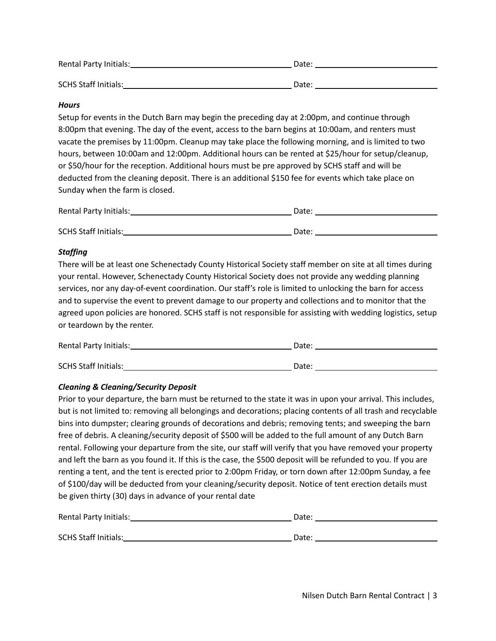| Rental Party Initials:      | Date: |
|-----------------------------|-------|
| <b>SCHS Staff Initials:</b> | Date: |

## *Hours*

Setup for events in the Dutch Barn may begin the preceding day at 2:00pm, and continue through 8:00pm that evening. The day of the event, access to the barn begins at 10:00am, and renters must vacate the premises by 11:00pm. Cleanup may take place the following morning, and is limited to two hours, between 10:00am and 12:00pm. Additional hours can be rented at \$25/hour for setup/cleanup, or \$50/hour for the reception. Additional hours must be pre approved by SCHS staff and will be deducted from the cleaning deposit. There is an additional \$150 fee for events which take place on Sunday when the farm is closed.

| Rental Party Initials:      | Date: |
|-----------------------------|-------|
|                             |       |
| <b>SCHS Staff Initials:</b> | Date: |

## *Staffing*

There will be at least one Schenectady County Historical Society staff member on site at all times during your rental. However, Schenectady County Historical Society does not provide any wedding planning services, nor any day-of-event coordination. Our staff's role is limited to unlocking the barn for access and to supervise the event to prevent damage to our property and collections and to monitor that the agreed upon policies are honored. SCHS staff is not responsible for assisting with wedding logistics, setup or teardown by the renter.

| Rental Party Initials:      | Date: |  |
|-----------------------------|-------|--|
|                             |       |  |
| <b>SCHS Staff Initials:</b> | Date: |  |

## *Cleaning & Cleaning/Security Deposit*

Prior to your departure, the barn must be returned to the state it was in upon your arrival. This includes, but is not limited to: removing all belongings and decorations; placing contents of all trash and recyclable bins into dumpster; clearing grounds of decorations and debris; removing tents; and sweeping the barn free of debris. A cleaning/security deposit of \$500 will be added to the full amount of any Dutch Barn rental. Following your departure from the site, our staff will verify that you have removed your property and left the barn as you found it. If this is the case, the \$500 deposit will be refunded to you. If you are renting a tent, and the tent is erected prior to 2:00pm Friday, or torn down after 12:00pm Sunday, a fee of \$100/day will be deducted from your cleaning/security deposit. Notice of tent erection details must be given thirty (30) days in advance of your rental date

| Rental Party Initials:      | Date: |
|-----------------------------|-------|
| <b>SCHS Staff Initials:</b> | Date: |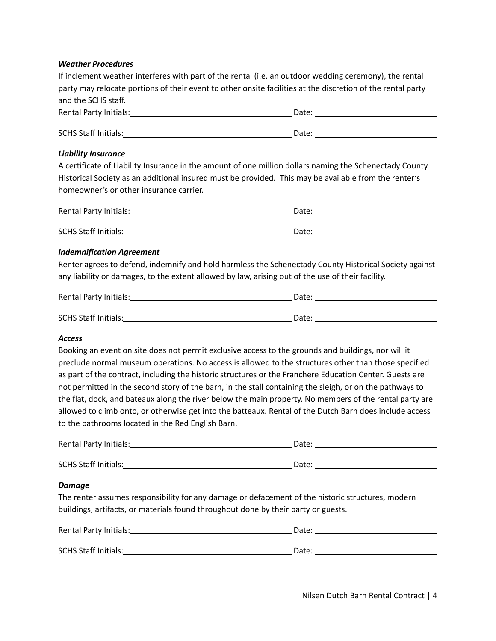#### *Weather Procedures*

| If inclement weather interferes with part of the rental (i.e. an outdoor wedding ceremony), the rental      |
|-------------------------------------------------------------------------------------------------------------|
| party may relocate portions of their event to other onsite facilities at the discretion of the rental party |
| and the SCHS staff.                                                                                         |

| Rental Party Initials:      | Date: |  |
|-----------------------------|-------|--|
| <b>SCHS Staff Initials:</b> | Date: |  |

#### *Liability Insurance*

A certificate of Liability Insurance in the amount of one million dollars naming the Schenectady County Historical Society as an additional insured must be provided. This may be available from the renter's homeowner's or other insurance carrier.

| Rental Party Initials:      | Date: |
|-----------------------------|-------|
|                             |       |
| <b>SCHS Staff Initials:</b> | Date: |

#### *Indemnification Agreement*

Renter agrees to defend, indemnify and hold harmless the Schenectady County Historical Society against any liability or damages, to the extent allowed by law, arising out of the use of their facility.

| Rental Party Initials:      | Date: |
|-----------------------------|-------|
|                             |       |
| <b>SCHS Staff Initials:</b> | Date: |

#### *Access*

Booking an event on site does not permit exclusive access to the grounds and buildings, nor will it preclude normal museum operations. No access is allowed to the structures other than those specified as part of the contract, including the historic structures or the Franchere Education Center. Guests are not permitted in the second story of the barn, in the stall containing the sleigh, or on the pathways to the flat, dock, and bateaux along the river below the main property. No members of the rental party are allowed to climb onto, or otherwise get into the batteaux. Rental of the Dutch Barn does include access to the bathrooms located in the Red English Barn.

| Rental Party Initials:      | Date: |
|-----------------------------|-------|
|                             |       |
| <b>SCHS Staff Initials:</b> | Date: |

#### *Damage*

The renter assumes responsibility for any damage or defacement of the historic structures, modern buildings, artifacts, or materials found throughout done by their party or guests.

| Rental Party Initials:      | Date: |
|-----------------------------|-------|
|                             |       |
| <b>SCHS Staff Initials:</b> | Date: |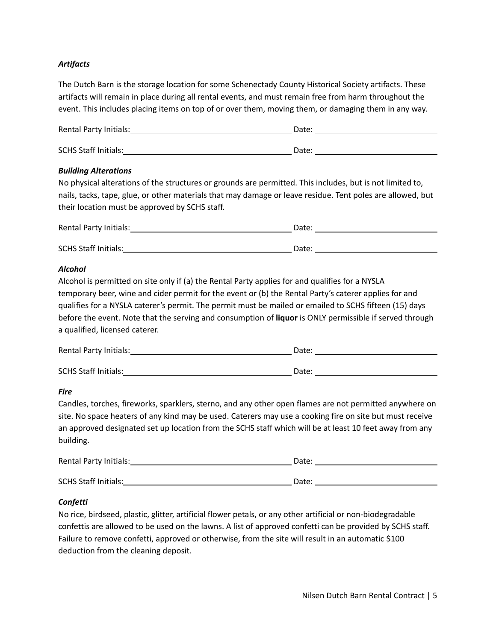## *Artifacts*

The Dutch Barn is the storage location for some Schenectady County Historical Society artifacts. These artifacts will remain in place during all rental events, and must remain free from harm throughout the event. This includes placing items on top of or over them, moving them, or damaging them in any way.

| Rental Party Initials:      | Date: |
|-----------------------------|-------|
|                             |       |
| <b>SCHS Staff Initials:</b> | Date: |

#### *Building Alterations*

No physical alterations of the structures or grounds are permitted. This includes, but is not limited to, nails, tacks, tape, glue, or other materials that may damage or leave residue. Tent poles are allowed, but their location must be approved by SCHS staff.

| Rental Party Initials:      | Date: |  |
|-----------------------------|-------|--|
|                             |       |  |
| <b>SCHS Staff Initials:</b> | Date: |  |

#### *Alcohol*

Alcohol is permitted on site only if (a) the Rental Party applies for and qualifies for a NYSLA temporary beer, wine and cider permit for the event or (b) the Rental Party's caterer applies for and qualifies for a NYSLA caterer's permit. The permit must be mailed or emailed to SCHS fifteen (15) days before the event. Note that the serving and consumption of **liquor** is ONLY permissible if served through a qualified, licensed caterer.

| Rental Party Initials:      | Date: |
|-----------------------------|-------|
| <b>SCHS Staff Initials:</b> | Date: |

## *Fire*

Candles, torches, fireworks, sparklers, sterno, and any other open flames are not permitted anywhere on site. No space heaters of any kind may be used. Caterers may use a cooking fire on site but must receive an approved designated set up location from the SCHS staff which will be at least 10 feet away from any building.

| Rental Party Initials:      | Date: |  |
|-----------------------------|-------|--|
| <b>SCHS Staff Initials:</b> | Date: |  |

## *Confetti*

No rice, birdseed, plastic, glitter, artificial flower petals, or any other artificial or non-biodegradable confettis are allowed to be used on the lawns. A list of approved confetti can be provided by SCHS staff. Failure to remove confetti, approved or otherwise, from the site will result in an automatic \$100 deduction from the cleaning deposit.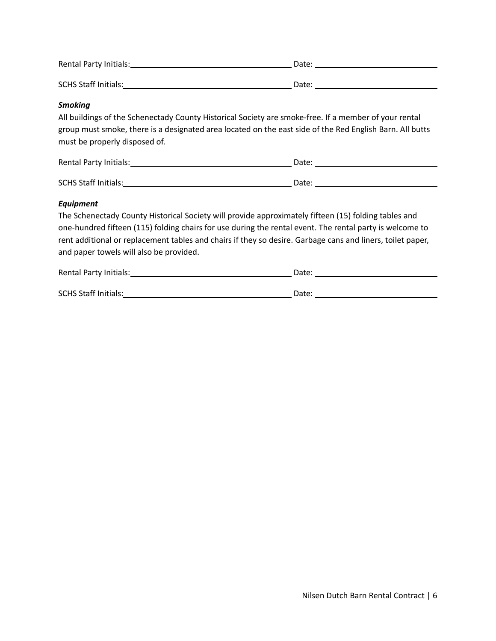| Rental Party Initials:      | Date: |  |
|-----------------------------|-------|--|
| <b>SCHS Staff Initials:</b> | Date: |  |

## *Smoking*

All buildings of the Schenectady County Historical Society are smoke-free. If a member of your rental group must smoke, there is a designated area located on the east side of the Red English Barn. All butts must be properly disposed of.

| Rental Party Initials:      | Date: |
|-----------------------------|-------|
|                             |       |
| <b>SCHS Staff Initials:</b> | Date: |

#### *Equipment*

The Schenectady County Historical Society will provide approximately fifteen (15) folding tables and one-hundred fifteen (115) folding chairs for use during the rental event. The rental party is welcome to rent additional or replacement tables and chairs if they so desire. Garbage cans and liners, toilet paper, and paper towels will also be provided.

| Rental Party Initials:      | Date: |
|-----------------------------|-------|
| <b>SCHS Staff Initials:</b> | Date: |